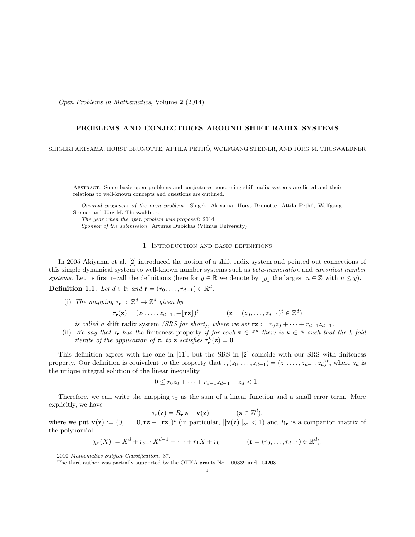Open Problems in Mathematics, Volume 2 (2014)

## PROBLEMS AND CONJECTURES AROUND SHIFT RADIX SYSTEMS

SHIGEKI AKIYAMA, HORST BRUNOTTE, ATTILA PETHŐ, WOLFGANG STEINER, AND JÖRG M. THUSWALDNER

Abstract. Some basic open problems and conjectures concerning shift radix systems are listed and their relations to well-known concepts and questions are outlined.

Original proposers of the open problem: Shigeki Akiyama, Horst Brunotte, Attila Pethő, Wolfgang Steiner and Jörg M. Thuswaldner.

The year when the open problem was proposed: 2014. Sponsor of the submission: Arturas Dubickas (Vilnius University).

## 1. Introduction and basic definitions

In 2005 Akiyama et al. [2] introduced the notion of a shift radix system and pointed out connections of this simple dynamical system to well-known number systems such as *beta-numeration* and *canonical number* systems. Let us first recall the definitions (here for  $y \in \mathbb{R}$  we denote by  $|y|$  the largest  $n \in \mathbb{Z}$  with  $n \leq y$ ).

**Definition 1.1.** Let  $d \in \mathbb{N}$  and  $\mathbf{r} = (r_0, \dots, r_{d-1}) \in \mathbb{R}^d$ .

(i) The mapping  $\tau_{\mathbf{r}} : \mathbb{Z}^d \to \mathbb{Z}^d$  given by

$$
\tau_{\mathbf{r}}(\mathbf{z}) = (z_1, \dots, z_{d-1}, -\lfloor \mathbf{r} \mathbf{z} \rfloor)^t \qquad (\mathbf{z} = (z_0, \dots, z_{d-1})^t \in \mathbb{Z}^d)
$$

is called a shift radix system (SRS for short), where we set  $\mathbf{rz} := r_0z_0 + \cdots + r_{d-1}z_{d-1}$ .

(ii) We say that  $\tau_r$  has the finiteness property if for each  $z \in \mathbb{Z}^d$  there is  $k \in \mathbb{N}$  such that the k-fold iterate of the application of  $\tau_{\mathbf{r}}$  to **z** satisfies  $\tau_{\mathbf{r}}^k(\mathbf{z}) = \mathbf{0}$ .

This definition agrees with the one in [11], but the SRS in [2] coincide with our SRS with finiteness property. Our definition is equivalent to the property that  $\tau_{\mathbf{r}}(z_0, \ldots, z_{d-1}) = (z_1, \ldots, z_{d-1}, z_d)^t$ , where  $z_d$  is the unique integral solution of the linear inequality

$$
0 \le r_0 z_0 + \dots + r_{d-1} z_{d-1} + z_d < 1.
$$

Therefore, we can write the mapping  $\tau_r$  as the sum of a linear function and a small error term. More explicitly, we have

$$
\tau_{\mathbf{r}}(\mathbf{z}) = R_{\mathbf{r}} \mathbf{z} + \mathbf{v}(\mathbf{z}) \qquad (\mathbf{z} \in \mathbb{Z}^d),
$$

where we put  $\mathbf{v}(\mathbf{z}) := (0, \ldots, 0, \mathbf{r}\mathbf{z} - \lfloor \mathbf{r}\mathbf{z} \rfloor)^t$  (in particular,  $||\mathbf{v}(\mathbf{z})||_{\infty} < 1$ ) and  $R_{\mathbf{r}}$  is a companion matrix of the polynomial

$$
\chi_{\mathbf{r}}(X) := X^d + r_{d-1} X^{d-1} + \dots + r_1 X + r_0 \qquad (\mathbf{r} = (r_0, \dots, r_{d-1}) \in \mathbb{R}^d).
$$

<sup>2010</sup> Mathematics Subject Classification. 37.

The third author was partially supported by the OTKA grants No. 100339 and 104208.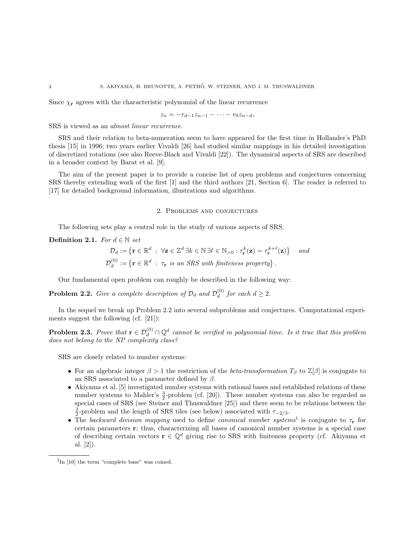Since  $\chi_{\mathbf{r}}$  agrees with the characteristic polynomial of the linear recurrence

$$
z_n = -r_{d-1}z_{n-1} - \cdots - r_0z_{n-d},
$$

SRS is viewed as an almost linear recurrence.

SRS and their relation to beta-numeration seem to have appeared for the first time in Hollander's PhD thesis [15] in 1996; two years earlier Vivaldi [26] had studied similar mappings in his detailed investigation of discretized rotations (see also Reeve-Black and Vivaldi [22]). The dynamical aspects of SRS are described in a broader context by Barat et al. [9].

The aim of the present paper is to provide a concise list of open problems and conjectures concerning SRS thereby extending work of the first [1] and the third authors [21, Section 6]. The reader is referred to [17] for detailed background information, illustrations and algorithms.

## 2. Problems and conjectures

The following sets play a central role in the study of various aspects of SRS.

Definition 2.1. For  $d \in \mathbb{N}$  set

$$
\mathcal{D}_d := \left\{ \mathbf{r} \in \mathbb{R}^d \; : \; \forall \mathbf{z} \in \mathbb{Z}^d \, \exists k \in \mathbb{N} \, \exists \ell \in \mathbb{N}_{>0} : \tau_\mathbf{r}^k(\mathbf{z}) = \tau_\mathbf{r}^{k+\ell}(\mathbf{z}) \right\} \quad and
$$
  

$$
\mathcal{D}_d^{(0)} := \left\{ \mathbf{r} \in \mathbb{R}^d \; : \; \tau_\mathbf{r} \text{ is an SRS with finiteness property} \right\}.
$$

Our fundamental open problem can roughly be described in the following way:

**Problem 2.2.** Give a complete description of  $\mathcal{D}_d$  and  $\mathcal{D}_d^{(0)}$  $d_d^{(0)}$  for each  $d \geq 2$ .

In the sequel we break up Problem 2.2 into several subproblems and conjectures. Computational experiments suggest the following (cf. [21]):

**Problem 2.3.** Prove that  $\mathbf{r} \in \mathcal{D}_d^{(0)} \cap \mathbb{Q}^d$  cannot be verified in polynomial time. Is it true that this problem does not belong to the NP complexity class?

SRS are closely related to number systems:

- For an algebraic integer  $\beta > 1$  the restriction of the *beta-transformation*  $T_\beta$  to  $\mathbb{Z}[\beta]$  is conjugate to an SRS associated to a parameter defined by  $\beta$ .
- Akiyama et al. [5] investigated number systems with rational bases and established relations of these number systems to Mahler's  $\frac{3}{2}$ -problem (cf. [20]). These number systems can also be regarded as special cases of SRS (see Steiner and Thuswaldner [25]) and there seem to be relations between the  $\frac{3}{2}$ -problem and the length of SRS tiles (see below) associated with  $\tau_{-2/3}$ .
- The backward division mapping used to define canonical number systems<sup>1</sup> is conjugate to  $\tau_r$  for certain parameters r; thus, characterizing all bases of canonical number systems is a special case of describing certain vectors  $\mathbf{r} \in \mathbb{Q}^d$  giving rise to SRS with finiteness property (cf. Akiyama et al. [2]).

<sup>1</sup> In [16] the term "complete base" was coined.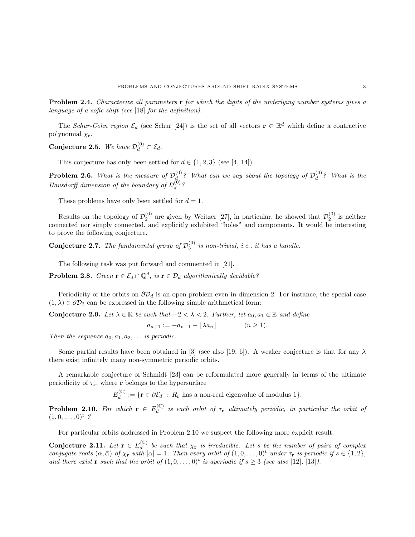**Problem 2.4.** Characterize all parameters **r** for which the digits of the underlying number systems gives a language of a sofic shift (see [18] for the definition).

The Schur-Cohn region  $\mathcal{E}_d$  (see Schur [24]) is the set of all vectors  $\mathbf{r} \in \mathbb{R}^d$  which define a contractive polynomial  $\chi_{\mathbf{r}}$ .

Conjecture 2.5. We have  $\mathcal{D}_d^{(0)} \subset \mathcal{E}_d$ .

This conjecture has only been settled for  $d \in \{1, 2, 3\}$  (see [4, 14]).

**Problem 2.6.** What is the measure of  $\mathcal{D}_{d}^{(0)}$  $\mathcal{D}_d^{(0)}$ ? What can we say about the topology of  $\mathcal{D}_d^{(0)}$  $\binom{0}{d}$ ? What is the Hausdorff dimension of the boundary of  $\mathcal{D}_d^{(0)}$  $\frac{d}{d}$  ?

These problems have only been settled for  $d = 1$ .

Results on the topology of  $\mathcal{D}_2^{(0)}$  are given by Weitzer [27], in particular, he showed that  $\mathcal{D}_2^{(0)}$  is neither connected nor simply connected, and explicitly exhibited "holes" and components. It would be interesting to prove the following conjecture.

**Conjecture 2.7.** The fundamental group of  $\mathcal{D}_3^{(0)}$  is non-trivial, i.e., it has a handle.

The following task was put forward and commented in [21].

**Problem 2.8.** Given  $\mathbf{r} \in \mathcal{E}_d \cap \mathbb{Q}^d$ , is  $\mathbf{r} \in \mathcal{D}_d$  algorithmically decidable?

Periodicity of the orbits on  $\partial \mathcal{D}_d$  is an open problem even in dimension 2. For instance, the special case  $(1, \lambda) \in \partial \mathcal{D}_2$  can be expressed in the following simple arithmetical form:

Conjecture 2.9. Let  $\lambda \in \mathbb{R}$  be such that  $-2 < \lambda < 2$ . Further, let  $a_0, a_1 \in \mathbb{Z}$  and define

$$
a_{n+1} := -a_{n-1} - \lfloor \lambda a_n \rfloor \qquad (n \ge 1).
$$

Then the sequence  $a_0, a_1, a_2, \ldots$  is periodic.

Some partial results have been obtained in [3] (see also [19, 6]). A weaker conjecture is that for any  $\lambda$ there exist infinitely many non-symmetric periodic orbits.

A remarkable conjecture of Schmidt [23] can be reformulated more generally in terms of the ultimate periodicity of  $\tau_r$ , where r belongs to the hypersurface

> $E_d^{(\mathbb{C})}$  $d_d^{(\mathbb{C})} := \{ \mathbf{r} \in \partial \mathcal{E}_d : R_{\mathbf{r}} \text{ has a non-real eigenvalue of modulus } 1 \}.$

**Problem 2.10.** For which  $\mathbf{r} \in E_d^{(\mathbb{C})}$  $\frac{d^{(C)}}{d}$  is each orbit of  $\tau_r$  ultimately periodic, in particular the orbit of  $(1, 0, \ldots, 0)^t$  ?

For particular orbits addressed in Problem 2.10 we suspect the following more explicit result.

Conjecture 2.11. Let  $\mathbf{r} \in E_d^{(\mathbb{C})}$  $\frac{d^{(1)}(t)}{dt}$  be such that  $\chi_{\mathbf{r}}$  is irreducible. Let s be the number of pairs of complex conjugate roots  $(\alpha, \bar{\alpha})$  of  $\chi_{\mathbf{r}}$  with  $|\alpha| = 1$ . Then every orbit of  $(1, 0, \ldots, 0)^t$  under  $\tau_{\mathbf{r}}$  is periodic if  $s \in \{1, 2\}$ , and there exist **r** such that the orbit of  $(1, 0, \ldots, 0)^t$  is aperiodic if  $s \geq 3$  (see also [12], [13]).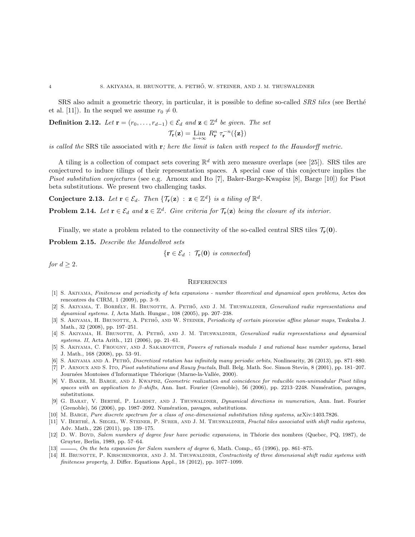SRS also admit a geometric theory, in particular, it is possible to define so-called *SRS tiles* (see Berthé et al. [11]). In the sequel we assume  $r_0 \neq 0$ .

**Definition 2.12.** Let  $\mathbf{r} = (r_0, \ldots, r_{d-1}) \in \mathcal{E}_d$  and  $\mathbf{z} \in \mathbb{Z}^d$  be given. The set

$$
\mathcal{T}_{\mathbf{r}}(\mathbf{z}) = \lim_{n \to \infty} \, R_{\mathbf{r}}^n \; \tau_{\mathbf{r}}^{-n}(\{\mathbf{z}\})
$$

is called the SRS tile associated with  $\mathbf{r}$ ; here the limit is taken with respect to the Hausdorff metric.

A tiling is a collection of compact sets covering  $\mathbb{R}^d$  with zero measure overlaps (see [25]). SRS tiles are conjectured to induce tilings of their representation spaces. A special case of this conjecture implies the Pisot substitution conjectures (see e.g. Arnoux and Ito [7], Baker-Barge-Kwapisz [8], Barge [10]) for Pisot beta substitutions. We present two challenging tasks.

**Conjecture 2.13.** Let  $\mathbf{r} \in \mathcal{E}_d$ . Then  $\{\mathcal{T}_{\mathbf{r}}(\mathbf{z}) : \mathbf{z} \in \mathbb{Z}^d\}$  is a tiling of  $\mathbb{R}^d$ .

**Problem 2.14.** Let  $\mathbf{r} \in \mathcal{E}_d$  and  $\mathbf{z} \in \mathbb{Z}^d$ . Give criteria for  $\mathcal{T}_{\mathbf{r}}(\mathbf{z})$  being the closure of its interior.

Finally, we state a problem related to the connectivity of the so-called central SRS tiles  $\mathcal{T}_r(\mathbf{0})$ .

Problem 2.15. Describe the Mandelbrot sets

$$
\{ \mathbf{r} \in \mathcal{E}_d \; : \; \mathcal{T}_{\mathbf{r}}(\mathbf{0}) \; \text{ is connected} \}
$$

for  $d \geq 2$ .

## **REFERENCES**

- [1] S. Akiyama, Finiteness and periodicity of beta expansions number theoretical and dynamical open problems, Actes des rencontres du CIRM, 1 (2009), pp. 3–9.
- [2] S. AKIYAMA, T. BORBÉLY, H. BRUNOTTE, A. PETHŐ, AND J. M. THUSWALDNER, *Generalized radix representations and* dynamical systems. I, Acta Math. Hungar., 108 (2005), pp. 207–238.
- [3] S. AKIYAMA, H. BRUNOTTE, A. PETHŐ, AND W. STEINER, Periodicity of certain piecewise affine planar maps, Tsukuba J. Math., 32 (2008), pp. 197–251.
- [4] S. AKIYAMA, H. BRUNOTTE, A. PETHŐ, AND J. M. THUSWALDNER, Generalized radix representations and dynamical systems. II, Acta Arith., 121 (2006), pp. 21–61.
- [5] S. AKIYAMA, C. FROUGNY, AND J. SAKAROVITCH, Powers of rationals modulo 1 and rational base number systems, Israel J. Math., 168 (2008), pp. 53–91.
- [6] S. AKIYAMA AND A. PETHŐ, *Discretized rotation has infinitely many periodic orbits*, Nonlinearity, 26 (2013), pp. 871–880.
- [7] P. Arnoux and S. Ito, Pisot substitutions and Rauzy fractals, Bull. Belg. Math. Soc. Simon Stevin, 8 (2001), pp. 181–207. Journées Montoises d'Informatique Théorique (Marne-la-Vallée, 2000).
- [8] V. Baker, M. Barge, and J. Kwapisz, Geometric realization and coincidence for reducible non-unimodular Pisot tiling spaces with an application to  $\beta$ -shifts, Ann. Inst. Fourier (Grenoble), 56 (2006), pp. 2213–2248. Numération, pavages, substitutions.
- [9] G. BARAT, V. BERTHÉ, P. LIARDET, AND J. THUSWALDNER, *Dynamical directions in numeration*, Ann. Inst. Fourier (Grenoble),  $56$   $(2006)$ , pp. 1987–2092. Numération, pavages, substitutions.
- [10] M. Barge, Pure discrete spectrum for a class of one-dimensional substitution tiling systems, arXiv:1403.7826.
- [11] V. BERTHÉ, A. SIEGEL, W. STEINER, P. SURER, AND J. M. THUSWALDNER, Fractal tiles associated with shift radix systems, Adv. Math., 226 (2011), pp. 139–175.
- [12] D. W. Boyd, Salem numbers of degree four have periodic expansions, in Théorie des nombres (Quebec, PQ, 1987), de Gruyter, Berlin, 1989, pp. 57–64.
- [13] , On the beta expansion for Salem numbers of degree 6, Math. Comp., 65 (1996), pp. 861–875.
- [14] H. BRUNOTTE, P. KIRSCHENHOFER, AND J. M. THUSWALDNER, Contractivity of three dimensional shift radix systems with finiteness property, J. Differ. Equations Appl., 18 (2012), pp. 1077–1099.